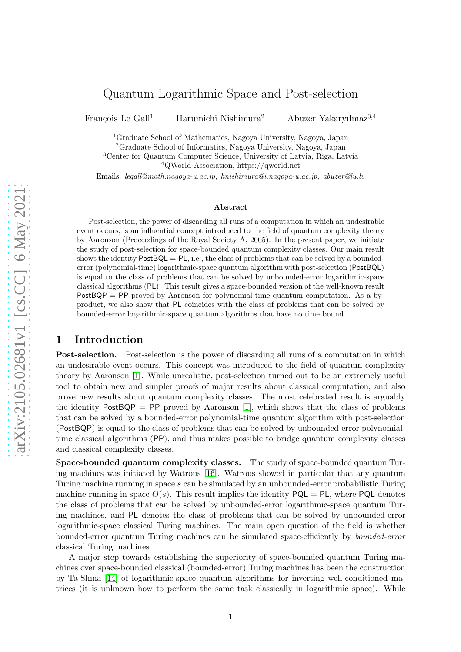# Quantum Logarithmic Space and Post-selection

François Le Gall<sup>1</sup> <sup>1</sup> Harumichi Nishimura <sup>2</sup> Abuzer Yakaryılmaz<sup>3,4</sup>

 $^1$ Graduate School of Mathematics, Nagoya University, Nagoya, Japan $^2$ Graduate School of Informatics, Nagoya University, Nagoya, Japan

<sup>3</sup>Center for Quantum Computer Science, University of Latvia, Rīga, Latvia  $4QWorld Association, <https://qworld.net>$ 

Emails: legall@math.nagoya-u.ac.jp, hnishimura@i.nagoya-u.ac.jp, abuzer@lu.lv

#### Abstract

Post-selection, the power of discarding all runs of a computation in which an undesirable event occurs, is an influential concept introduced to the field of quantum complexity theory by Aaronson (Proceedings of the Royal Society A, 2005). In the present paper, we initiate the study of post-selection for space-bounded quantum complexity classes. Our main result shows the identity  $PostBQL = PL$ , i.e., the class of problems that can be solved by a boundederror (polynomial-time) logarithmic-space quantum algorithm with post-selection (PostBQL) is equal to the class of problems that can be solved by unbounded-error logarithmic-space classical algorithms (PL). This result gives a space-bounded version of the well-known result  $PostBQP = PP$  proved by Aaronson for polynomial-time quantum computation. As a byproduct, we also show that PL coincides with the class of problems that can be solved by bounded-error logarithmic-space quantum algorithms that have no time bound.

### <span id="page-0-0"></span>1 Introduction

Post-selection. Post-selection is the power of discarding all runs of a computation in which an undesirable event occurs. This concept was introduced to the field of quantum complexity theory by Aaronson [\[1\]](#page-14-0). While unrealistic, post-selection turned out to be an extremely useful tool to obtain new and simpler proofs of major results about classical computation, and also prove new results about quantum complexity classes. The most celebrated result is arguably the identity  $PostBQP = PP$  proved by Aaronson [\[1\]](#page-14-0), which shows that the class of problems that can be solved by a bounded-error polynomial-time quantum algorithm with post-selection (PostBQP) is equal to the class of problems that can be solved by unbounded-error polynomialtime classical algorithms (PP), and thus makes possible to bridge quantum complexity classes and classical complexity classes.

Space-bounded quantum complexity classes. The study of space-bounded quantum Turing machines was initiated by Watrous [\[16\]](#page-15-0). Watrous showed in particular that any quantum Turing machine running in space s can be simulated by an unbounded-error probabilistic Turing machine running in space  $O(s)$ . This result implies the identity  $PQL = PL$ , where  $PQL$  denotes the class of problems that can be solved by unbounded-error logarithmic-space quantum Turing machines, and PL denotes the class of problems that can be solved by unbounded-error logarithmic-space classical Turing machines. The main open question of the field is whether bounded-error quantum Turing machines can be simulated space-efficiently by bounded-error classical Turing machines.

A major step towards establishing the superiority of space-bounded quantum Turing machines over space-bounded classical (bounded-error) Turing machines has been the construction by Ta-Shma [\[14\]](#page-15-1) of logarithmic-space quantum algorithms for inverting well-conditioned matrices (it is unknown how to perform the same task classically in logarithmic space). While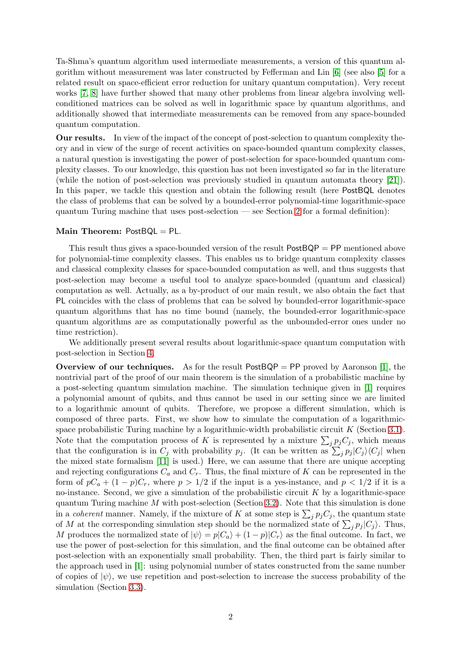Ta-Shma's quantum algorithm used intermediate measurements, a version of this quantum algorithm without measurement was later constructed by Fefferman and Lin [\[6\]](#page-15-2) (see also [\[5\]](#page-15-3) for a related result on space-efficient error reduction for unitary quantum computation). Very recent works [\[7,](#page-15-4) [8\]](#page-15-5) have further showed that many other problems from linear algebra involving wellconditioned matrices can be solved as well in logarithmic space by quantum algorithms, and additionally showed that intermediate measurements can be removed from any space-bounded quantum computation.

Our results. In view of the impact of the concept of post-selection to quantum complexity theory and in view of the surge of recent activities on space-bounded quantum complexity classes, a natural question is investigating the power of post-selection for space-bounded quantum complexity classes. To our knowledge, this question has not been investigated so far in the literature (while the notion of post-selection was previously studied in quantum automata theory [\[21\]](#page-16-0)). In this paper, we tackle this question and obtain the following result (here PostBQL denotes the class of problems that can be solved by a bounded-error polynomial-time logarithmic-space quantum Turing machine that uses post-selection — see Section [2](#page-2-0) for a formal definition):

#### Main Theorem: PostBQL = PL.

This result thus gives a space-bounded version of the result PostBQP = PP mentioned above for polynomial-time complexity classes. This enables us to bridge quantum complexity classes and classical complexity classes for space-bounded computation as well, and thus suggests that post-selection may become a useful tool to analyze space-bounded (quantum and classical) computation as well. Actually, as a by-product of our main result, we also obtain the fact that PL coincides with the class of problems that can be solved by bounded-error logarithmic-space quantum algorithms that has no time bound (namely, the bounded-error logarithmic-space quantum algorithms are as computationally powerful as the unbounded-error ones under no time restriction).

We additionally present several results about logarithmic-space quantum computation with post-selection in Section [4.](#page-13-0)

**Overview of our techniques.** As for the result  $PostBQP = PP$  proved by Aaronson [\[1\]](#page-14-0), the nontrivial part of the proof of our main theorem is the simulation of a probabilistic machine by a post-selecting quantum simulation machine. The simulation technique given in [\[1\]](#page-14-0) requires a polynomial amount of qubits, and thus cannot be used in our setting since we are limited to a logarithmic amount of qubits. Therefore, we propose a different simulation, which is composed of three parts. First, we show how to simulate the computation of a logarithmicspace probabilistic Turing machine by a logarithmic-width probabilistic circuit  $K$  (Section [3.1\)](#page-6-0). Note that the computation process of K is represented by a mixture  $\sum_j p_j C_j$ , which means that the configuration is in  $C_j$  with probability  $p_j$ . (It can be written as  $\sum_j p_j |C_j\rangle\langle C_j|$  when the mixed state formalism [\[11\]](#page-15-6) is used.) Here, we can assume that there are unique accepting and rejecting configurations  $C_a$  and  $C_r$ . Thus, the final mixture of K can be represented in the form of  $pC_a + (1-p)C_r$ , where  $p > 1/2$  if the input is a yes-instance, and  $p < 1/2$  if it is a no-instance. Second, we give a simulation of the probabilistic circuit  $K$  by a logarithmic-space quantum Turing machine M with post-selection (Section [3.2\)](#page-8-0). Note that this simulation is done in a *coherent* manner. Namely, if the mixture of K at some step is  $\sum_j p_j C_j$ , the quantum state of M at the corresponding simulation step should be the normalized state of  $\sum_j p_j |C_j\rangle$ . Thus, M produces the normalized state of  $|\psi\rangle = p|C_a\rangle + (1-p)|C_r\rangle$  as the final outcome. In fact, we use the power of post-selection for this simulation, and the final outcome can be obtained after post-selection with an exponentially small probability. Then, the third part is fairly similar to the approach used in [\[1\]](#page-14-0): using polynomial number of states constructed from the same number of copies of  $|\psi\rangle$ , we use repetition and post-selection to increase the success probability of the simulation (Section [3.3\)](#page-10-0).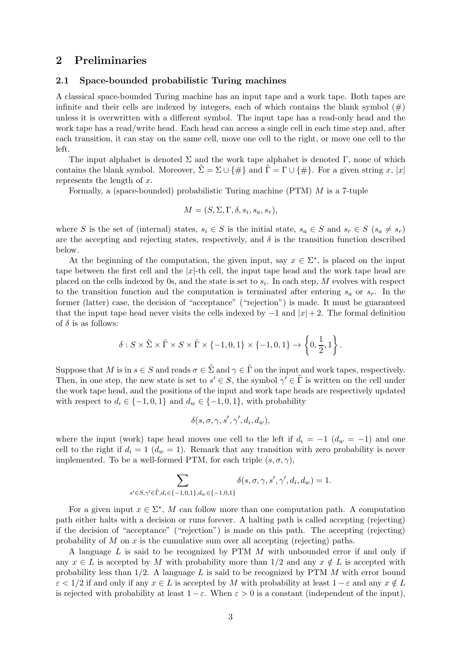# <span id="page-2-0"></span>2 Preliminaries

### 2.1 Space-bounded probabilistic Turing machines

A classical space-bounded Turing machine has an input tape and a work tape. Both tapes are infinite and their cells are indexed by integers, each of which contains the blank symbol  $(\#)$ unless it is overwritten with a different symbol. The input tape has a read-only head and the work tape has a read/write head. Each head can access a single cell in each time step and, after each transition, it can stay on the same cell, move one cell to the right, or move one cell to the left.

The input alphabet is denoted  $\Sigma$  and the work tape alphabet is denoted  $\Gamma$ , none of which contains the blank symbol. Moreover,  $\Sigma = \Sigma \cup \{\#\}$  and  $\Gamma = \Gamma \cup \{\#\}$ . For a given string x, |x| represents the length of  $x$ .

Formally, a (space-bounded) probabilistic Turing machine (PTM) M is a 7-tuple

$$
M = (S, \Sigma, \Gamma, \delta, s_i, s_a, s_r),
$$

where S is the set of (internal) states,  $s_i \in S$  is the initial state,  $s_a \in S$  and  $s_r \in S$  ( $s_a \neq s_r$ ) are the accepting and rejecting states, respectively, and  $\delta$  is the transition function described below.

At the beginning of the computation, the given input, say  $x \in \Sigma^*$ , is placed on the input tape between the first cell and the  $|x|$ -th cell, the input tape head and the work tape head are placed on the cells indexed by 0s, and the state is set to  $s_i$ . In each step, M evolves with respect to the transition function and the computation is terminated after entering  $s_a$  or  $s_r$ . In the former (latter) case, the decision of "acceptance" ("rejection") is made. It must be guaranteed that the input tape head never visits the cells indexed by  $-1$  and  $|x|+2$ . The formal definition of  $\delta$  is as follows:

$$
\delta: S \times \tilde{\Sigma} \times \tilde{\Gamma} \times S \times \tilde{\Gamma} \times \{-1, 0, 1\} \times \{-1, 0, 1\} \to \left\{0, \frac{1}{2}, 1\right\}.
$$

Suppose that M is in  $s \in S$  and reads  $\sigma \in \tilde{\Sigma}$  and  $\gamma \in \tilde{\Gamma}$  on the input and work tapes, respectively. Then, in one step, the new state is set to  $s' \in S$ , the symbol  $\gamma' \in \tilde{\Gamma}$  is written on the cell under the work tape head, and the positions of the input and work tape heads are respectively updated with respect to  $d_i \in \{-1, 0, 1\}$  and  $d_w \in \{-1, 0, 1\}$ , with probability

$$
\delta(s, \sigma, \gamma, s', \gamma', d_i, d_w),
$$

where the input (work) tape head moves one cell to the left if  $d_i = -1$  ( $d_w = -1$ ) and one cell to the right if  $d_i = 1$   $(d_w = 1)$ . Remark that any transition with zero probability is never implemented. To be a well-formed PTM, for each triple  $(s, \sigma, \gamma)$ ,

$$
\sum_{s' \in S, \gamma' \in \tilde{\Gamma}, d_i \in \{-1, 0, 1\}, d_w \in \{-1, 0, 1\}} \delta(s, \sigma, \gamma, s', \gamma', d_i, d_w) = 1.
$$

For a given input  $x \in \Sigma^*$ , M can follow more than one computation path. A computation path either halts with a decision or runs forever. A halting path is called accepting (rejecting) if the decision of "acceptance" ("rejection") is made on this path. The accepting (rejecting) probability of M on x is the cumulative sum over all accepting (rejecting) paths.

A language  $L$  is said to be recognized by PTM  $M$  with unbounded error if and only if any  $x \in L$  is accepted by M with probability more than  $1/2$  and any  $x \notin L$  is accepted with probability less than  $1/2$ . A language L is said to be recognized by PTM M with error bound  $\varepsilon < 1/2$  if and only if any  $x \in L$  is accepted by M with probability at least  $1 - \varepsilon$  and any  $x \notin L$ is rejected with probability at least  $1-\varepsilon$ . When  $\varepsilon > 0$  is a constant (independent of the input),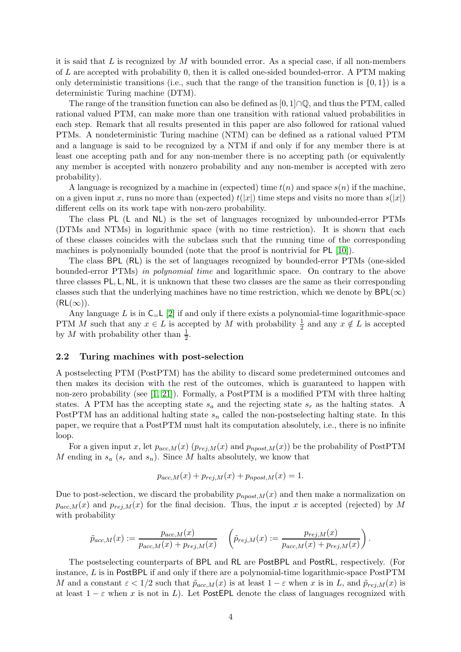it is said that  $L$  is recognized by  $M$  with bounded error. As a special case, if all non-members of L are accepted with probability 0, then it is called one-sided bounded-error. A PTM making only deterministic transitions (i.e., such that the range of the transition function is  $\{0, 1\}$ ) is a deterministic Turing machine (DTM).

The range of the transition function can also be defined as  $[0,1] \cap \mathbb{Q}$ , and thus the PTM, called rational valued PTM, can make more than one transition with rational valued probabilities in each step. Remark that all results presented in this paper are also followed for rational valued PTMs. A nondeterministic Turing machine (NTM) can be defined as a rational valued PTM and a language is said to be recognized by a NTM if and only if for any member there is at least one accepting path and for any non-member there is no accepting path (or equivalently any member is accepted with nonzero probability and any non-member is accepted with zero probability).

A language is recognized by a machine in (expected) time  $t(n)$  and space  $s(n)$  if the machine, on a given input x, runs no more than (expected)  $t(|x|)$  time steps and visits no more than  $s(|x|)$ different cells on its work tape with non-zero probability.

The class PL (L and NL) is the set of languages recognized by unbounded-error PTMs (DTMs and NTMs) in logarithmic space (with no time restriction). It is shown that each of these classes coincides with the subclass such that the running time of the corresponding machines is polynomially bounded (note that the proof is nontrivial for PL [\[10\]](#page-15-7)).

The class BPL (RL) is the set of languages recognized by bounded-error PTMs (one-sided bounded-error PTMs) in polynomial time and logarithmic space. On contrary to the above three classes PL, L, NL, it is unknown that these two classes are the same as their corresponding classes such that the underlying machines have no time restriction, which we denote by  $BPL(\infty)$  $(RL(\infty))$ .

Any language L is in  $C_L$  [\[2\]](#page-15-8) if and only if there exists a polynomial-time logarithmic-space PTM M such that any  $x \in L$  is accepted by M with probability  $\frac{1}{2}$  and any  $x \notin L$  is accepted by M with probability other than  $\frac{1}{2}$ .

#### 2.2 Turing machines with post-selection

A postselecting PTM (PostPTM) has the ability to discard some predetermined outcomes and then makes its decision with the rest of the outcomes, which is guaranteed to happen with non-zero probability (see [\[1,](#page-14-0) [21\]](#page-16-0)). Formally, a PostPTM is a modified PTM with three halting states. A PTM has the accepting state  $s_a$  and the rejecting state  $s_r$  as the halting states. A PostPTM has an additional halting state  $s_n$  called the non-postselecting halting state. In this paper, we require that a PostPTM must halt its computation absolutely, i.e., there is no infinite loop.

For a given input x, let  $p_{acc,M}(x)$   $(p_{rej,M}(x)$  and  $p_{npost,M}(x))$  be the probability of PostPTM M ending in  $s_a$  ( $s_r$  and  $s_n$ ). Since M halts absolutely, we know that

$$
p_{acc,M}(x) + p_{rej,M}(x) + p_{npost,M}(x) = 1.
$$

Due to post-selection, we discard the probability  $p_{npost,M}(x)$  and then make a normalization on  $p_{acc,M}(x)$  and  $p_{rej,M}(x)$  for the final decision. Thus, the input x is accepted (rejected) by M with probability

$$
\tilde{p}_{acc,M}(x) := \frac{p_{acc,M}(x)}{p_{acc,M}(x) + p_{rej,M}(x)} \quad \left(\tilde{p}_{rej,M}(x) := \frac{p_{rej,M}(x)}{p_{acc,M}(x) + p_{rej,M}(x)}\right).
$$

The postselecting counterparts of BPL and RL are PostBPL and PostRL, respectively. (For instance, L is in PostBPL if and only if there are a polynomial-time logarithmic-space PostPTM M and a constant  $\varepsilon < 1/2$  such that  $\tilde{p}_{acc,M}(x)$  is at least  $1-\varepsilon$  when x is in L, and  $\tilde{p}_{rej,M}(x)$  is at least  $1 - \varepsilon$  when x is not in L). Let PostEPL denote the class of languages recognized with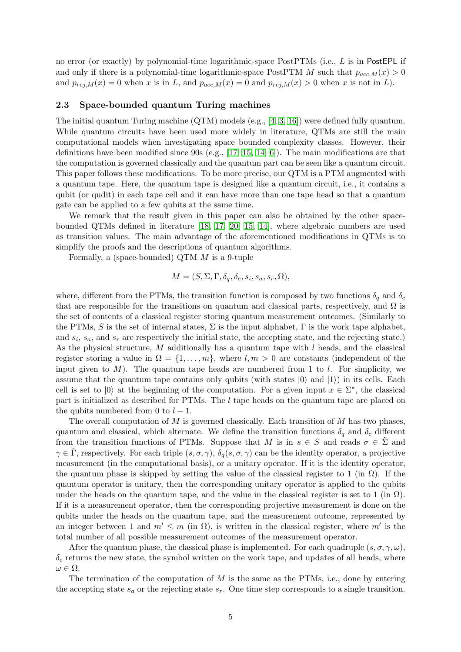no error (or exactly) by polynomial-time logarithmic-space PostPTMs (i.e., L is in PostEPL if and only if there is a polynomial-time logarithmic-space PostPTM M such that  $p_{acc,M}(x) > 0$ and  $p_{rej,M}(x) = 0$  when x is in L, and  $p_{acc,M}(x) = 0$  and  $p_{rej,M}(x) > 0$  when x is not in L).

# 2.3 Space-bounded quantum Turing machines

The initial quantum Turing machine (QTM) models (e.g., [\[4,](#page-15-9) [3,](#page-15-10) [16\]](#page-15-0)) were defined fully quantum. While quantum circuits have been used more widely in literature, QTMs are still the main computational models when investigating space bounded complexity classes. However, their definitions have been modified since 90s (e.g., [\[17,](#page-15-11) [15,](#page-15-12) [14,](#page-15-1) [6\]](#page-15-2)). The main modifications are that the computation is governed classically and the quantum part can be seen like a quantum circuit. This paper follows these modifications. To be more precise, our QTM is a PTM augmented with a quantum tape. Here, the quantum tape is designed like a quantum circuit, i.e., it contains a qubit (or qudit) in each tape cell and it can have more than one tape head so that a quantum gate can be applied to a few qubits at the same time.

We remark that the result given in this paper can also be obtained by the other spacebounded QTMs defined in literature [\[18,](#page-15-13) [17,](#page-15-11) [20,](#page-16-1) [15,](#page-15-12) [14\]](#page-15-1), where algebraic numbers are used as transition values. The main advantage of the aforementioned modifications in QTMs is to simplify the proofs and the descriptions of quantum algorithms.

Formally, a (space-bounded) QTM  $M$  is a 9-tuple

$$
M = (S, \Sigma, \Gamma, \delta_q, \delta_c, s_i, s_a, s_r, \Omega),
$$

where, different from the PTMs, the transition function is composed by two functions  $\delta_q$  and  $\delta_c$ that are responsible for the transitions on quantum and classical parts, respectively, and  $\Omega$  is the set of contents of a classical register storing quantum measurement outcomes. (Similarly to the PTMs, S is the set of internal states,  $\Sigma$  is the input alphabet,  $\Gamma$  is the work tape alphabet, and  $s_i$ ,  $s_a$ , and  $s_r$  are respectively the initial state, the accepting state, and the rejecting state.) As the physical structure,  $M$  additionally has a quantum tape with  $l$  heads, and the classical register storing a value in  $\Omega = \{1, \ldots, m\}$ , where  $l, m > 0$  are constants (independent of the input given to  $M$ ). The quantum tape heads are numbered from 1 to l. For simplicity, we assume that the quantum tape contains only qubits (with states  $|0\rangle$  and  $|1\rangle$ ) in its cells. Each cell is set to  $|0\rangle$  at the beginning of the computation. For a given input  $x \in \Sigma^*$ , the classical part is initialized as described for PTMs. The l tape heads on the quantum tape are placed on the qubits numbered from 0 to  $l-1$ .

The overall computation of  $M$  is governed classically. Each transition of  $M$  has two phases, quantum and classical, which alternate. We define the transition functions  $\delta_q$  and  $\delta_c$  different from the transition functions of PTMs. Suppose that M is in  $s \in S$  and reads  $\sigma \in \Sigma$  and  $\gamma \in \Gamma$ , respectively. For each triple  $(s, \sigma, \gamma)$ ,  $\delta_q(s, \sigma, \gamma)$  can be the identity operator, a projective measurement (in the computational basis), or a unitary operator. If it is the identity operator, the quantum phase is skipped by setting the value of the classical register to 1 (in  $\Omega$ ). If the quantum operator is unitary, then the corresponding unitary operator is applied to the qubits under the heads on the quantum tape, and the value in the classical register is set to 1 (in  $\Omega$ ). If it is a measurement operator, then the corresponding projective measurement is done on the qubits under the heads on the quantum tape, and the measurement outcome, represented by an integer between 1 and  $m' \leq m$  (in  $\Omega$ ), is written in the classical register, where  $m'$  is the total number of all possible measurement outcomes of the measurement operator.

After the quantum phase, the classical phase is implemented. For each quadruple  $(s, \sigma, \gamma, \omega)$ ,  $\delta_c$  returns the new state, the symbol written on the work tape, and updates of all heads, where  $\omega \in \Omega$ .

The termination of the computation of  $M$  is the same as the PTMs, i.e., done by entering the accepting state  $s_a$  or the rejecting state  $s_r$ . One time step corresponds to a single transition.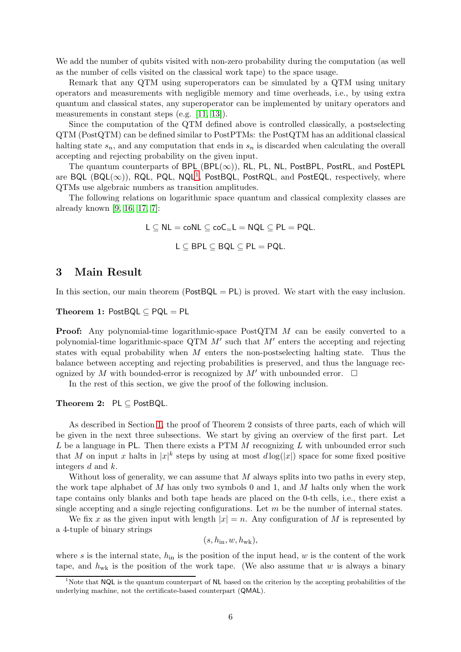We add the number of qubits visited with non-zero probability during the computation (as well as the number of cells visited on the classical work tape) to the space usage.

Remark that any QTM using superoperators can be simulated by a QTM using unitary operators and measurements with negligible memory and time overheads, i.e., by using extra quantum and classical states, any superoperator can be implemented by unitary operators and measurements in constant steps (e.g. [\[11,](#page-15-6) [13\]](#page-15-14)).

Since the computation of the QTM defined above is controlled classically, a postselecting QTM (PostQTM) can be defined similar to PostPTMs: the PostQTM has an additional classical halting state  $s_n$ , and any computation that ends in  $s_n$  is discarded when calculating the overall accepting and rejecting probability on the given input.

The quantum counterparts of BPL (BPL( $\infty$ )), RL, PL, NL, PostBPL, PostRL, and PostEPL are BQL  $(BQL(\infty))$ , RQL, PQL, NQL<sup>[1](#page-5-0)</sup>, PostBQL, PostRQL, and PostEQL, respectively, where QTMs use algebraic numbers as transition amplitudes.

The following relations on logarithmic space quantum and classical complexity classes are already known [\[9,](#page-15-15) [16,](#page-15-0) [17,](#page-15-11) [7\]](#page-15-4):

> $L \subseteq NL = \text{coNL} \subseteq \text{coC-L} = NQL \subseteq PL = \text{POL}.$  $L \subseteq BPL \subseteq BQL \subseteq PL = PQL$ .

# <span id="page-5-1"></span>3 Main Result

In this section, our main theorem ( $PostBQL = PL$ ) is proved. We start with the easy inclusion.

Theorem 1: PostBQL ⊆ PQL = PL

Proof: Any polynomial-time logarithmic-space PostQTM M can be easily converted to a polynomial-time logarithmic-space QTM  $M'$  such that  $M'$  enters the accepting and rejecting states with equal probability when  $M$  enters the non-postselecting halting state. Thus the balance between accepting and rejecting probabilities is preserved, and thus the language recognized by M with bounded-error is recognized by M' with unbounded error.  $\Box$ 

In the rest of this section, we give the proof of the following inclusion.

#### Theorem 2: PL ⊆ PostBQL.

As described in Section [1,](#page-0-0) the proof of Theorem 2 consists of three parts, each of which will be given in the next three subsections. We start by giving an overview of the first part. Let  $L$  be a language in PL. Then there exists a PTM  $M$  recognizing  $L$  with unbounded error such that M on input x halts in  $|x|^k$  steps by using at most  $d \log(|x|)$  space for some fixed positive integers d and k.

Without loss of generality, we can assume that  $M$  always splits into two paths in every step, the work tape alphabet of  $M$  has only two symbols 0 and 1, and  $M$  halts only when the work tape contains only blanks and both tape heads are placed on the 0-th cells, i.e., there exist a single accepting and a single rejecting configurations. Let  $m$  be the number of internal states.

We fix x as the given input with length  $|x| = n$ . Any configuration of M is represented by a 4-tuple of binary strings

 $(s, h_{\text{in}}, w, h_{\text{wk}}),$ 

where s is the internal state,  $h_{\text{in}}$  is the position of the input head, w is the content of the work tape, and  $h_{\text{wk}}$  is the position of the work tape. (We also assume that w is always a binary

<span id="page-5-0"></span><sup>&</sup>lt;sup>1</sup>Note that NQL is the quantum counterpart of NL based on the criterion by the accepting probabilities of the underlying machine, not the certificate-based counterpart (QMAL).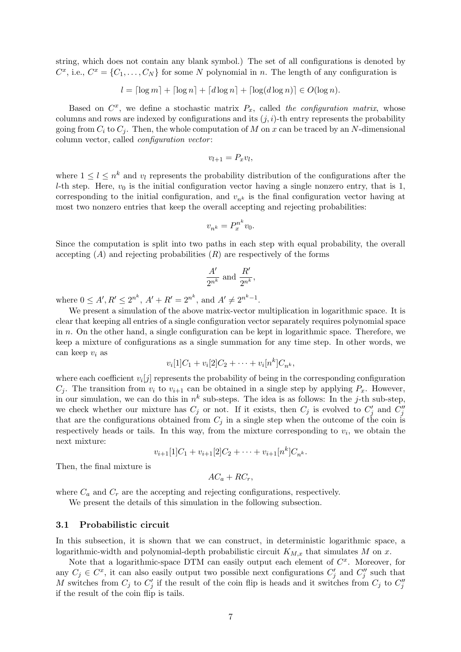string, which does not contain any blank symbol.) The set of all configurations is denoted by  $C^x$ , i.e.,  $C^x = \{C_1, \ldots, C_N\}$  for some N polynomial in n. The length of any configuration is

$$
l = \lceil \log m \rceil + \lceil \log n \rceil + \lceil d \log n \rceil + \lceil \log(d \log n) \rceil \in O(\log n).
$$

Based on  $C^x$ , we define a stochastic matrix  $P_x$ , called the configuration matrix, whose columns and rows are indexed by configurations and its  $(j, i)$ -th entry represents the probability going from  $C_i$  to  $C_j$ . Then, the whole computation of M on x can be traced by an N-dimensional column vector, called *configuration vector*:

$$
v_{l+1} = P_x v_l,
$$

where  $1 \leq l \leq n^k$  and  $v_l$  represents the probability distribution of the configurations after the l-th step. Here,  $v_0$  is the initial configuration vector having a single nonzero entry, that is 1, corresponding to the initial configuration, and  $v_{n^k}$  is the final configuration vector having at most two nonzero entries that keep the overall accepting and rejecting probabilities:

$$
v_{n^k} = P_x^{n^k} v_0.
$$

Since the computation is split into two paths in each step with equal probability, the overall accepting  $(A)$  and rejecting probabilities  $(R)$  are respectively of the forms

$$
\frac{A'}{2^{n^k}} \text{ and } \frac{R'}{2^{n^k}},
$$

where  $0 \leq A', R' \leq 2^{n^k}, A' + R' = 2^{n^k}, \text{ and } A' \neq 2^{n^k-1}.$ 

We present a simulation of the above matrix-vector multiplication in logarithmic space. It is clear that keeping all entries of a single configuration vector separately requires polynomial space in n. On the other hand, a single configuration can be kept in logarithmic space. Therefore, we keep a mixture of configurations as a single summation for any time step. In other words, we can keep  $v_i$  as

$$
v_i[1]C_1 + v_i[2]C_2 + \cdots + v_i[n^k]C_{n^k},
$$

where each coefficient  $v_i[j]$  represents the probability of being in the corresponding configuration  $C_i$ . The transition from  $v_i$  to  $v_{i+1}$  can be obtained in a single step by applying  $P_x$ . However, in our simulation, we can do this in  $n^k$  sub-steps. The idea is as follows: In the j-th sub-step, we check whether our mixture has  $C_j$  or not. If it exists, then  $C_j$  is evolved to  $C'_j$  and  $C''_j$ that are the configurations obtained from  $C_i$  in a single step when the outcome of the coin is respectively heads or tails. In this way, from the mixture corresponding to  $v_i$ , we obtain the next mixture:

$$
v_{i+1}[1]C_1 + v_{i+1}[2]C_2 + \cdots + v_{i+1}[n^k]C_{n^k}.
$$

Then, the final mixture is

$$
AC_a + RC_r,
$$

where  $C_a$  and  $C_r$  are the accepting and rejecting configurations, respectively.

We present the details of this simulation in the following subsection.

### <span id="page-6-0"></span>3.1 Probabilistic circuit

In this subsection, it is shown that we can construct, in deterministic logarithmic space, a logarithmic-width and polynomial-depth probabilistic circuit  $K_{M,x}$  that simulates M on x.

Note that a logarithmic-space DTM can easily output each element of  $C<sup>x</sup>$ . Moreover, for any  $C_j \in C^x$ , it can also easily output two possible next configurations  $C'_j$  and  $C''_j$  such that M switches from  $C_j$  to  $C'_j$  if the result of the coin flip is heads and it switches from  $C_j$  to  $C''_j$ if the result of the coin flip is tails.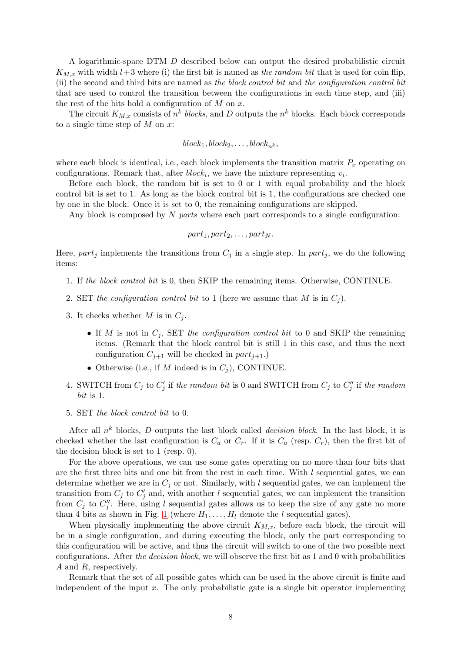A logarithmic-space DTM D described below can output the desired probabilistic circuit  $K_{M,x}$  with width  $l+3$  where (i) the first bit is named as the random bit that is used for coin flip, (ii) the second and third bits are named as the block control bit and the configuration control bit that are used to control the transition between the configurations in each time step, and (iii) the rest of the bits hold a configuration of  $M$  on  $x$ .

The circuit  $K_{M,x}$  consists of  $n^k$  blocks, and D outputs the  $n^k$  blocks. Each block corresponds to a single time step of  $M$  on  $x$ :

$$
block_1, block_2, \ldots, block_{n^k},
$$

where each block is identical, i.e., each block implements the transition matrix  $P_x$  operating on configurations. Remark that, after  $block_i$ , we have the mixture representing  $v_i$ .

Before each block, the random bit is set to 0 or 1 with equal probability and the block control bit is set to 1. As long as the block control bit is 1, the configurations are checked one by one in the block. Once it is set to 0, the remaining configurations are skipped.

Any block is composed by N parts where each part corresponds to a single configuration:

$$
part_1, part_2, \ldots, part_N.
$$

Here, part<sub>j</sub> implements the transitions from  $C_j$  in a single step. In part<sub>j</sub>, we do the following items:

- 1. If the block control bit is 0, then SKIP the remaining items. Otherwise, CONTINUE.
- 2. SET the configuration control bit to 1 (here we assume that M is in  $C_j$ ).
- 3. It checks whether  $M$  is in  $C_i$ .
	- If M is not in  $C_i$ , SET the configuration control bit to 0 and SKIP the remaining items. (Remark that the block control bit is still 1 in this case, and thus the next configuration  $C_{j+1}$  will be checked in  $part_{j+1}$ .)
	- Otherwise (i.e., if M indeed is in  $C_i$ ), CONTINUE.
- 4. SWITCH from  $C_j$  to  $C'_j$  if the random bit is 0 and SWITCH from  $C_j$  to  $C''_j$  if the random bit is 1.
- 5. SET the block control bit to 0.

After all  $n^k$  blocks, D outputs the last block called *decision block*. In the last block, it is checked whether the last configuration is  $C_a$  or  $C_r$ . If it is  $C_a$  (resp.  $C_r$ ), then the first bit of the decision block is set to 1 (resp. 0).

For the above operations, we can use some gates operating on no more than four bits that are the first three bits and one bit from the rest in each time. With  $l$  sequential gates, we can determine whether we are in  $C_i$  or not. Similarly, with l sequential gates, we can implement the transition from  $C_j$  to  $C'_j$  and, with another l sequential gates, we can implement the transition from  $C_j$  to  $C''_j$ . Here, using l sequential gates allows us to keep the size of any gate no more than 4 bits as shown in Fig. [1](#page-8-1) (where  $H_1, \ldots, H_l$  denote the l sequential gates).

When physically implementing the above circuit  $K_{M,x}$ , before each block, the circuit will be in a single configuration, and during executing the block, only the part corresponding to this configuration will be active, and thus the circuit will switch to one of the two possible next configurations. After the decision block, we will observe the first bit as 1 and 0 with probabilities A and R, respectively.

Remark that the set of all possible gates which can be used in the above circuit is finite and independent of the input  $x$ . The only probabilistic gate is a single bit operator implementing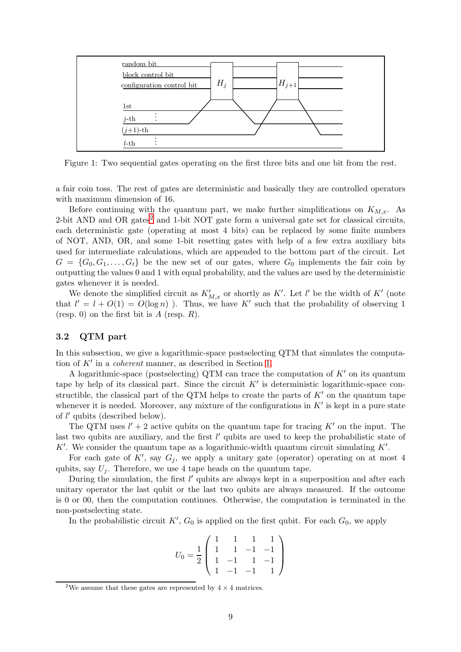

<span id="page-8-1"></span>Figure 1: Two sequential gates operating on the first three bits and one bit from the rest.

a fair coin toss. The rest of gates are deterministic and basically they are controlled operators with maximum dimension of 16.

Before continuing with the quantum part, we make further simplifications on  $K_{M,x}$ . As [2](#page-8-2)-bit AND and OR gates<sup>2</sup> and 1-bit NOT gate form a universal gate set for classical circuits, each deterministic gate (operating at most 4 bits) can be replaced by some finite numbers of NOT, AND, OR, and some 1-bit resetting gates with help of a few extra auxiliary bits used for intermediate calculations, which are appended to the bottom part of the circuit. Let  $G = \{G_0, G_1, \ldots, G_t\}$  be the new set of our gates, where  $G_0$  implements the fair coin by outputting the values 0 and 1 with equal probability, and the values are used by the deterministic gates whenever it is needed.

We denote the simplified circuit as  $K'_{M,x}$  or shortly as  $K'$ . Let  $l'$  be the width of  $K'$  (note that  $l' = l + O(1) = O(\log n)$ . Thus, we have K' such that the probability of observing 1 (resp. 0) on the first bit is  $A$  (resp.  $R$ ).

### <span id="page-8-0"></span>3.2 QTM part

In this subsection, we give a logarithmic-space postselecting QTM that simulates the computation of  $K'$  in a *coherent* manner, as described in Section [1.](#page-0-0)

A logarithmic-space (postselecting) QTM can trace the computation of  $K'$  on its quantum tape by help of its classical part. Since the circuit  $K'$  is deterministic logarithmic-space constructible, the classical part of the QTM helps to create the parts of  $K'$  on the quantum tape whenever it is needed. Moreover, any mixture of the configurations in  $K'$  is kept in a pure state of l ′ qubits (described below).

The QTM uses  $l' + 2$  active qubits on the quantum tape for tracing K' on the input. The last two qubits are auxiliary, and the first l' qubits are used to keep the probabilistic state of K'. We consider the quantum tape as a logarithmic-width quantum circuit simulating  $K'$ .

For each gate of  $K'$ , say  $G_j$ , we apply a unitary gate (operator) operating on at most 4 qubits, say  $U_i$ . Therefore, we use 4 tape heads on the quantum tape.

During the simulation, the first l' qubits are always kept in a superposition and after each unitary operator the last qubit or the last two qubits are always measured. If the outcome is 0 or 00, then the computation continues. Otherwise, the computation is terminated in the non-postselecting state.

In the probabilistic circuit  $K'$ ,  $G_0$  is applied on the first qubit. For each  $G_0$ , we apply

$$
U_0 = \frac{1}{2} \begin{pmatrix} 1 & 1 & 1 & 1 \\ 1 & 1 & -1 & -1 \\ 1 & -1 & 1 & -1 \\ 1 & -1 & -1 & 1 \end{pmatrix}
$$

<span id="page-8-2"></span> $^2\text{We assume that these gates are represented by }4\times4$  matrices.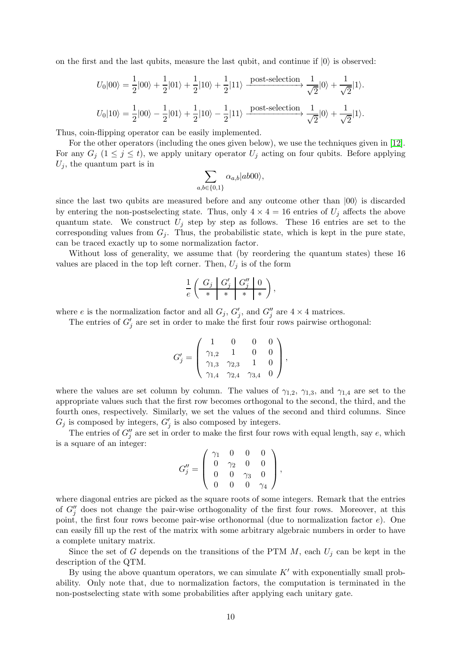on the first and the last qubits, measure the last qubit, and continue if  $|0\rangle$  is observed:

$$
U_0|00\rangle = \frac{1}{2}|00\rangle + \frac{1}{2}|01\rangle + \frac{1}{2}|10\rangle + \frac{1}{2}|11\rangle \xrightarrow{\text{post-selection}} \frac{1}{\sqrt{2}}|0\rangle + \frac{1}{\sqrt{2}}|1\rangle.
$$
  

$$
U_0|10\rangle = \frac{1}{2}|00\rangle - \frac{1}{2}|01\rangle + \frac{1}{2}|10\rangle - \frac{1}{2}|11\rangle \xrightarrow{\text{post-selection}} \frac{1}{\sqrt{2}}|0\rangle + \frac{1}{\sqrt{2}}|1\rangle.
$$

Thus, coin-flipping operator can be easily implemented.

For the other operators (including the ones given below), we use the techniques given in [\[12\]](#page-15-16). For any  $G_j$   $(1 \leq j \leq t)$ , we apply unitary operator  $U_j$  acting on four qubits. Before applying  $U_j$ , the quantum part is in

$$
\sum_{a,b \in \{0,1\}} \alpha_{a,b} |ab00\rangle,
$$

since the last two qubits are measured before and any outcome other than  $|00\rangle$  is discarded by entering the non-postselecting state. Thus, only  $4 \times 4 = 16$  entries of  $U_i$  affects the above quantum state. We construct  $U_j$  step by step as follows. These 16 entries are set to the corresponding values from  $G_i$ . Thus, the probabilistic state, which is kept in the pure state, can be traced exactly up to some normalization factor.

Without loss of generality, we assume that (by reordering the quantum states) these 16 values are placed in the top left corner. Then,  $U_j$  is of the form

$$
\frac{1}{e}\left(\begin{array}{c|c|c} G_j & G_j' & G_j'' & 0 \ \hline \ast & \ast & \ast \end{array}\right),
$$

where e is the normalization factor and all  $G_j$ ,  $G'_j$ , and  $G''_j$  are  $4 \times 4$  matrices.

The entries of  $G'_{j}$  are set in order to make the first four rows pairwise orthogonal:

$$
G'_{j} = \left(\begin{array}{cccc} 1 & 0 & 0 & 0 \\ \gamma_{1,2} & 1 & 0 & 0 \\ \gamma_{1,3} & \gamma_{2,3} & 1 & 0 \\ \gamma_{1,4} & \gamma_{2,4} & \gamma_{3,4} & 0 \end{array}\right),
$$

where the values are set column by column. The values of  $\gamma_{1,2}$ ,  $\gamma_{1,3}$ , and  $\gamma_{1,4}$  are set to the appropriate values such that the first row becomes orthogonal to the second, the third, and the fourth ones, respectively. Similarly, we set the values of the second and third columns. Since  $G_j$  is composed by integers,  $G'_j$  is also composed by integers.

The entries of  $G''_j$  are set in order to make the first four rows with equal length, say e, which is a square of an integer:

$$
G''_j = \left(\begin{array}{cccc} \gamma_1 & 0 & 0 & 0 \\ 0 & \gamma_2 & 0 & 0 \\ 0 & 0 & \gamma_3 & 0 \\ 0 & 0 & 0 & \gamma_4 \end{array}\right),
$$

where diagonal entries are picked as the square roots of some integers. Remark that the entries of  $G''_j$  does not change the pair-wise orthogonality of the first four rows. Moreover, at this point, the first four rows become pair-wise orthonormal (due to normalization factor  $e$ ). One can easily fill up the rest of the matrix with some arbitrary algebraic numbers in order to have a complete unitary matrix.

Since the set of G depends on the transitions of the PTM  $M$ , each  $U_j$  can be kept in the description of the QTM.

By using the above quantum operators, we can simulate  $K'$  with exponentially small probability. Only note that, due to normalization factors, the computation is terminated in the non-postselecting state with some probabilities after applying each unitary gate.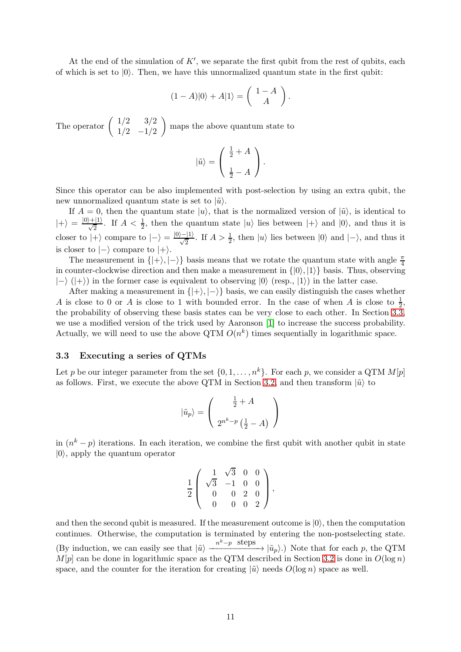At the end of the simulation of  $K'$ , we separate the first qubit from the rest of qubits, each of which is set to  $|0\rangle$ . Then, we have this unnormalized quantum state in the first qubit:

$$
(1-A)|0\rangle + A|1\rangle = \begin{pmatrix} 1-A \\ A \end{pmatrix}.
$$

The operator  $\begin{pmatrix} 1/2 & 3/2 \\ 1/2 & 1/2 \end{pmatrix}$  $1/2$   $-1/2$ maps the above quantum state to

$$
|\tilde{u}\rangle = \left(\begin{array}{c} \frac{1}{2} + A \\ \frac{1}{2} - A \end{array}\right).
$$

Since this operator can be also implemented with post-selection by using an extra qubit, the new unnormalized quantum state is set to  $|\tilde{u}\rangle$ .

If  $A = 0$ , then the quantum state  $|u\rangle$ , that is the normalized version of  $|\tilde{u}\rangle$ , is identical to  $|+\rangle = \frac{|0\rangle+|1\rangle}{\sqrt{2}}$ . If  $A < \frac{1}{2}$ , then the quantum state  $|u\rangle$  lies between  $|+\rangle$  and  $|0\rangle$ , and thus it is closer to  $|+\rangle$  compare to  $|-\rangle = \frac{|0\rangle - |1\rangle}{\sqrt{2}}$ . If  $A > \frac{1}{2}$ , then  $|u\rangle$  lies between  $|0\rangle$  and  $|-\rangle$ , and thus it is closer to  $|-\rangle$  compare to  $|+\rangle$ .

The measurement in  $\{ |+ \rangle, |-\rangle \}$  basis means that we rotate the quantum state with angle  $\frac{\pi}{4}$ in counter-clockwise direction and then make a measurement in  $\{|0\rangle, |1\rangle\}$  basis. Thus, observing  $|\rightarrow (|+\rangle)$  in the former case is equivalent to observing  $|0\rangle$  (resp.,  $|1\rangle$ ) in the latter case.

After making a measurement in  $\{|+\rangle, |-\rangle\}$  basis, we can easily distinguish the cases whether A is close to 0 or A is close to 1 with bounded error. In the case of when A is close to  $\frac{1}{2}$ , the probability of observing these basis states can be very close to each other. In Section [3.3,](#page-10-0) we use a modified version of the trick used by Aaronson [\[1\]](#page-14-0) to increase the success probability. Actually, we will need to use the above QTM  $O(n^k)$  times sequentially in logarithmic space.

### <span id="page-10-0"></span>3.3 Executing a series of QTMs

Let p be our integer parameter from the set  $\{0, 1, \ldots, n^k\}$ . For each p, we consider a QTM  $M[p]$ as follows. First, we execute the above QTM in Section [3.2,](#page-8-0) and then transform  $|\tilde{u}\rangle$  to

$$
\left|\tilde{u}_p\right\rangle = \left(\begin{array}{c} \frac{1}{2} + A \\ 2^{n^k - p} \left(\frac{1}{2} - A\right) \end{array}\right)
$$

in  $(n<sup>k</sup> - p)$  iterations. In each iteration, we combine the first qubit with another qubit in state  $|0\rangle$ , apply the quantum operator

$$
\frac{1}{2} \left( \begin{array}{rrr} 1 & \sqrt{3} & 0 & 0 \\ \sqrt{3} & -1 & 0 & 0 \\ 0 & 0 & 2 & 0 \\ 0 & 0 & 0 & 2 \end{array} \right),
$$

and then the second qubit is measured. If the measurement outcome is  $|0\rangle$ , then the computation continues. Otherwise, the computation is terminated by entering the non-postselecting state. (By induction, we can easily see that  $|\tilde{u}\rangle \xrightarrow{n^k-p \text{ steps}} |\tilde{u}_p\rangle$ .) Note that for each p, the QTM  $M[p]$  can be done in logarithmic space as the QTM described in Section [3.2](#page-8-0) is done in  $O(\log n)$ space, and the counter for the iteration for creating  $|\tilde{u}\rangle$  needs  $O(\log n)$  space as well.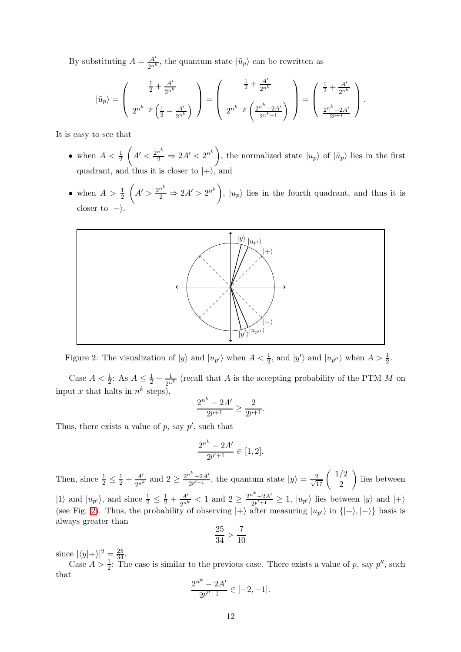By substituting  $A = \frac{A'}{2n^k}$ , the quantum state  $|\tilde{u}_p\rangle$  can be rewritten as

$$
|\tilde{u}_p\rangle = \left(\begin{array}{c} \frac{1}{2} + \frac{A'}{2^{n^k}} \\ 2^{n^k - p} \left(\frac{1}{2} - \frac{A'}{2^{n^k}}\right) \end{array}\right) = \left(\begin{array}{c} \frac{1}{2} + \frac{A'}{2^{n^k}} \\ 2^{n^k - p} \left(\frac{2^{n^k} - 2A'}{2^{n^k + 1}}\right) \end{array}\right) = \left(\begin{array}{c} \frac{1}{2} + \frac{A'}{2^{n^k}} \\ \frac{2^{n^k} - 2A'}{2^{p+1}} \end{array}\right).
$$

It is easy to see that

- when  $A < \frac{1}{2}$  $\left(A' < \frac{2^{n^k}}{2} \Rightarrow 2A' < 2^{n^k}\right)$ , the normalized state  $|u_p\rangle$  of  $|\tilde{u}_p\rangle$  lies in the first quadrant, and thus it is closer to  $|+\rangle$ , and
- when  $A > \frac{1}{2}$  $\left(A' > \frac{2^{n^k}}{2} \Rightarrow 2A' > 2^{n^k}\right), |u_p\rangle$  lies in the fourth quadrant, and thus it is closer to  $|-\rangle$ .



<span id="page-11-0"></span>Figure 2: The visualization of  $|y\rangle$  and  $|u_{p'}\rangle$  when  $A < \frac{1}{2}$ , and  $|y'\rangle$  and  $|u_{p''}\rangle$  when  $A > \frac{1}{2}$ .

Case  $A < \frac{1}{2}$ : As  $A \leq \frac{1}{2} - \frac{1}{2^n}$  $\frac{1}{2^{n^k}}$  (recall that A is the accepting probability of the PTM M on input x that halts in  $n^k$  steps),

$$
\frac{2^{n^k}-2A'}{2^{p+1}}\geq \frac{2}{2^{p+1}}.
$$

Thus, there exists a value of  $p$ , say  $p'$ , such that

$$
\frac{2^{n^k} - 2A'}{2^{p'+1}} \in [1,2].
$$

Then, since  $\frac{1}{2} \leq \frac{1}{2} + \frac{A'}{2n^k}$  and  $2 \geq \frac{2n^k - 2A'}{2p^k + 1}$ , the quantum state  $|y\rangle = \frac{2}{\sqrt{17}} \begin{pmatrix} 1/2 \\ 2 \end{pmatrix}$ 2 lies between  $|1\rangle$  and  $|u_{p'}\rangle$ , and since  $\frac{1}{2} \leq \frac{1}{2} + \frac{A'}{2^{n^k}} < 1$  and  $2 \geq \frac{2^{n^k}-2A'}{2^{p'+1}} \geq 1$ ,  $|u_{p'}\rangle$  lies between  $|y\rangle$  and  $|+\rangle$ (see Fig. [2\)](#page-11-0). Thus, the probability of observing  $|+\rangle$  after measuring  $|u_{p'}\rangle$  in  $\{|+\rangle, |-\rangle\}$  basis is always greater than

$$
\frac{25}{34} > \frac{7}{10}
$$

since  $|\langle y|+\rangle|^2 = \frac{25}{34}$ .

Case  $A > \frac{1}{2}$ . The case is similar to the previous case. There exists a value of p, say p'', such that

$$
\frac{2^{n^k}-2A'}{2^{p''+1}}\in [-2,-1].
$$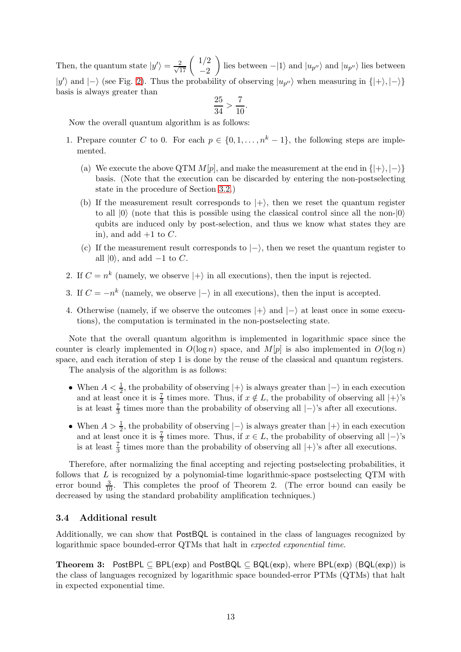Then, the quantum state  $|y'\rangle = \frac{2}{\sqrt{17}} \begin{pmatrix} 1/2 \\ -2 \end{pmatrix}$  $-2$ ) lies between  $-|1\rangle$  and  $|u_{p''}\rangle$  and  $|u_{p''}\rangle$  lies between  $|y'\rangle$  and  $|-\rangle$  (see Fig. [2\)](#page-11-0). Thus the probability of observing  $|u_{p''}\rangle$  when measuring in  $\{|+\rangle, |-\rangle\}$ basis is always greater than  $\alpha$  $\epsilon$ 

$$
\frac{25}{34} > \frac{7}{10}.
$$

Now the overall quantum algorithm is as follows:

- 1. Prepare counter C to 0. For each  $p \in \{0, 1, \ldots, n^k-1\}$ , the following steps are implemented.
	- (a) We execute the above QTM  $M[p]$ , and make the measurement at the end in  $\{|+\rangle, |-\rangle\}$ basis. (Note that the execution can be discarded by entering the non-postselecting state in the procedure of Section [3.2.](#page-8-0))
	- (b) If the measurement result corresponds to  $|+\rangle$ , then we reset the quantum register to all  $|0\rangle$  (note that this is possible using the classical control since all the non- $|0\rangle$ ) qubits are induced only by post-selection, and thus we know what states they are in), and add  $+1$  to C.
	- (c) If the measurement result corresponds to  $\ket{-}$ , then we reset the quantum register to all  $|0\rangle$ , and add  $-1$  to C.
- 2. If  $C = n^k$  (namely, we observe  $|+\rangle$  in all executions), then the input is rejected.
- 3. If  $C = -n^k$  (namely, we observe  $|-\rangle$  in all executions), then the input is accepted.
- 4. Otherwise (namely, if we observe the outcomes  $|+\rangle$  and  $|-\rangle$  at least once in some executions), the computation is terminated in the non-postselecting state.

Note that the overall quantum algorithm is implemented in logarithmic space since the counter is clearly implemented in  $O(\log n)$  space, and  $M[p]$  is also implemented in  $O(\log n)$ space, and each iteration of step 1 is done by the reuse of the classical and quantum registers.

The analysis of the algorithm is as follows:

- When  $A < \frac{1}{2}$ , the probability of observing  $|+\rangle$  is always greater than  $|-\rangle$  in each execution and at least once it is  $\frac{7}{3}$  times more. Thus, if  $x \notin L$ , the probability of observing all  $|+\rangle$ 's is at least  $\frac{7}{3}$  times more than the probability of observing all  $|-\rangle$ 's after all executions.
- When  $A > \frac{1}{2}$ , the probability of observing  $|-\rangle$  is always greater than  $|+\rangle$  in each execution and at least once it is  $\frac{7}{3}$  times more. Thus, if  $x \in L$ , the probability of observing all  $|-\rangle$ 's is at least  $\frac{7}{3}$  times more than the probability of observing all  $|+\rangle$ 's after all executions.

Therefore, after normalizing the final accepting and rejecting postselecting probabilities, it follows that  $L$  is recognized by a polynomial-time logarithmic-space postselecting QTM with error bound  $\frac{3}{10}$ . This completes the proof of Theorem 2. (The error bound can easily be decreased by using the standard probability amplification techniques.)

#### 3.4 Additional result

Additionally, we can show that PostBQL is contained in the class of languages recognized by logarithmic space bounded-error QTMs that halt in expected exponential time.

Theorem 3: PostBPL  $\subset$  BPL(exp) and PostBQL  $\subset$  BQL(exp), where BPL(exp) (BQL(exp)) is the class of languages recognized by logarithmic space bounded-error PTMs (QTMs) that halt in expected exponential time.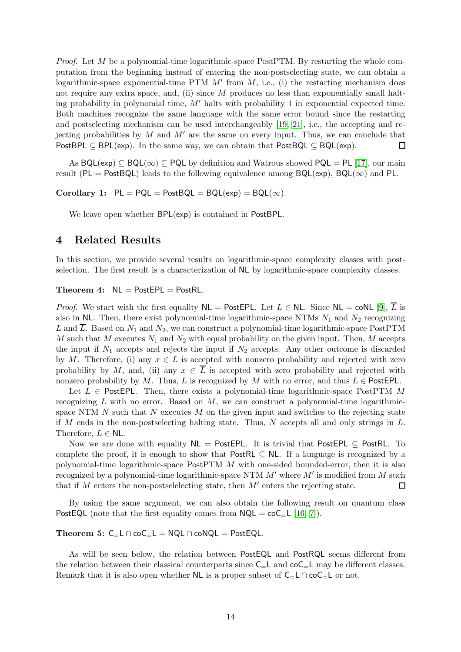Proof. Let M be a polynomial-time logarithmic-space PostPTM. By restarting the whole computation from the beginning instead of entering the non-postselecting state, we can obtain a logarithmic-space exponential-time PTM  $M'$  from  $M$ , i.e., (i) the restarting mechanism does not require any extra space, and, (ii) since  $M$  produces no less than exponentially small halting probability in polynomial time,  $M'$  halts with probability 1 in exponential expected time. Both machines recognize the same language with the same error bound since the restarting and postselecting mechanism can be used interchangeably [\[19,](#page-16-2) [21\]](#page-16-0), i.e., the accepting and rejecting probabilities by M and  $M'$  are the same on every input. Thus, we can conclude that PostBPL  $\subset$  BPL(exp). In the same way, we can obtain that PostBQL  $\subset$  BQL(exp).  $\Box$ 

As  $BQL(exp) \subseteq BQL(\infty) \subseteq PQL$  by definition and Watrous showed  $PQL = PL$  [\[17\]](#page-15-11), our main result (PL = PostBQL) leads to the following equivalence among  $BQL(exp)$ ,  $BQL(\infty)$  and PL.

Corollary 1:  $PL = PQL = PostBQL = BQL(exp) = BQL(\infty)$ .

We leave open whether  $BPL(exp)$  is contained in PostBPL.

# <span id="page-13-0"></span>4 Related Results

In this section, we provide several results on logarithmic-space complexity classes with postselection. The first result is a characterization of NL by logarithmic-space complexity classes.

#### Theorem 4:  $NL = PostEPL = PostRL$ .

*Proof.* We start with the first equality  $NL = PostEPL$ . Let  $L \in NL$ . Since  $NL = \text{coNL} [9], \overline{L}$  $NL = \text{coNL} [9], \overline{L}$  $NL = \text{coNL} [9], \overline{L}$  is also in NL. Then, there exist polynomial-time logarithmic-space NTMs  $N_1$  and  $N_2$  recognizing L and  $\overline{L}$ . Based on  $N_1$  and  $N_2$ , we can construct a polynomial-time logarithmic-space PostPTM  $M$  such that  $M$  executes  $N_1$  and  $N_2$  with equal probability on the given input. Then,  $M$  accepts the input if  $N_1$  accepts and rejects the input if  $N_2$  accepts. Any other outcome is discarded by M. Therefore, (i) any  $x \in L$  is accepted with nonzero probability and rejected with zero probability by M, and, (ii) any  $x \in \overline{L}$  is accepted with zero probability and rejected with nonzero probability by M. Thus, L is recognized by M with no error, and thus  $L \in$  PostEPL.

Let  $L \in$  PostEPL. Then, there exists a polynomial-time logarithmic-space PostPTM M recognizing  $L$  with no error. Based on  $M$ , we can construct a polynomial-time logarithmicspace NTM  $N$  such that  $N$  executes  $M$  on the given input and switches to the rejecting state if M ends in the non-postselecting halting state. Thus, N accepts all and only strings in  $L$ . Therefore,  $L \in \mathsf{NL}$ .

Now we are done with equality  $NL = PostEPL$ . It is trivial that PostEPL  $\subseteq$  PostRL. To complete the proof, it is enough to show that PostRL  $\subset$  NL. If a language is recognized by a polynomial-time logarithmic-space PostPTM M with one-sided bounded-error, then it is also recognized by a polynomial-time logarithmic-space NTM  $M'$  where  $M'$  is modified from  $M$  such that if M enters the non-postselelecting state, then  $M'$  enters the rejecting state.  $\Box$ 

By using the same argument, we can also obtain the following result on quantum class PostEQL (note that the first equality comes from  $NQL = coC<sub>=</sub>L [16, 7]$  $NQL = coC<sub>=</sub>L [16, 7]$  $NQL = coC<sub>=</sub>L [16, 7]$ ).

### Theorem 5:  $C_$   $L \cap coC_$   $L = NQL \cap coNQL = PostEQL$ .

As will be seen below, the relation between PostEQL and PostRQL seems different from the relation between their classical counterparts since  $C_{-}L$  and  $\text{co}C_{-}L$  may be different classes. Remark that it is also open whether NL is a proper subset of  $C_{=}\mathsf{L} \cap \mathsf{co} \mathsf{C}_{=}\mathsf{L}$  or not.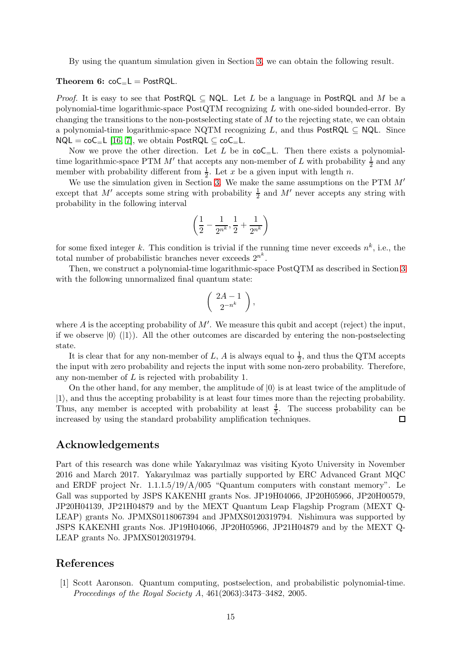By using the quantum simulation given in Section [3,](#page-5-1) we can obtain the following result.

### Theorem 6:  $\mathrm{coC}_{=}L = \mathrm{PostRQL}$ .

*Proof.* It is easy to see that PostRQL  $\subset$  NQL. Let L be a language in PostRQL and M be a polynomial-time logarithmic-space PostQTM recognizing L with one-sided bounded-error. By changing the transitions to the non-postselecting state of  $M$  to the rejecting state, we can obtain a polynomial-time logarithmic-space NQTM recognizing L, and thus PostRQL  $\subset$  NQL. Since  $NQL = coC<sub>=</sub>L$  [\[16,](#page-15-0) [7\]](#page-15-4), we obtain PostRQL  $\subset coC<sub>=</sub>L$ .

Now we prove the other direction. Let  $L$  be in  $\mathsf{coC}_{\mathsf{=}}L$ . Then there exists a polynomialtime logarithmic-space PTM  $M'$  that accepts any non-member of L with probability  $\frac{1}{2}$  and any member with probability different from  $\frac{1}{2}$ . Let x be a given input with length n.

We use the simulation given in Section [3.](#page-5-1) We make the same assumptions on the PTM M′ except that M' accepts some string with probability  $\frac{1}{2}$  and M' never accepts any string with probability in the following interval

$$
\left(\frac{1}{2}-\frac{1}{2^{n^k}}, \frac{1}{2}+\frac{1}{2^{n^k}}\right)
$$

for some fixed integer k. This condition is trivial if the running time never exceeds  $n^k$ , i.e., the total number of probabilistic branches never exceeds  $2^{n^k}$ .

Then, we construct a polynomial-time logarithmic-space PostQTM as described in Section [3](#page-5-1) with the following unnormalized final quantum state:

$$
\left(\begin{array}{c} 2A-1\\2^{-n^k}\end{array}\right),
$$

where A is the accepting probability of  $M'$ . We measure this qubit and accept (reject) the input, if we observe  $|0\rangle$  ( $|1\rangle$ ). All the other outcomes are discarded by entering the non-postselecting state.

It is clear that for any non-member of L, A is always equal to  $\frac{1}{2}$ , and thus the QTM accepts the input with zero probability and rejects the input with some non-zero probability. Therefore, any non-member of  $L$  is rejected with probability 1.

On the other hand, for any member, the amplitude of  $|0\rangle$  is at least twice of the amplitude of  $|1\rangle$ , and thus the accepting probability is at least four times more than the rejecting probability. Thus, any member is accepted with probability at least  $\frac{4}{5}$ . The success probability can be increased by using the standard probability amplification techniques.  $\Box$ 

### Acknowledgements

Part of this research was done while Yakaryılmaz was visiting Kyoto University in November 2016 and March 2017. Yakaryılmaz was partially supported by ERC Advanced Grant MQC and ERDF project Nr.  $1.1.1.5/19/A/005$  "Quantum computers with constant memory". Le Gall was supported by JSPS KAKENHI grants Nos. JP19H04066, JP20H05966, JP20H00579, JP20H04139, JP21H04879 and by the MEXT Quantum Leap Flagship Program (MEXT Q-LEAP) grants No. JPMXS0118067394 and JPMXS0120319794. Nishimura was supported by JSPS KAKENHI grants Nos. JP19H04066, JP20H05966, JP21H04879 and by the MEXT Q-LEAP grants No. JPMXS0120319794.

# <span id="page-14-0"></span>References

[1] Scott Aaronson. Quantum computing, postselection, and probabilistic polynomial-time. Proceedings of the Royal Society A, 461(2063):3473–3482, 2005.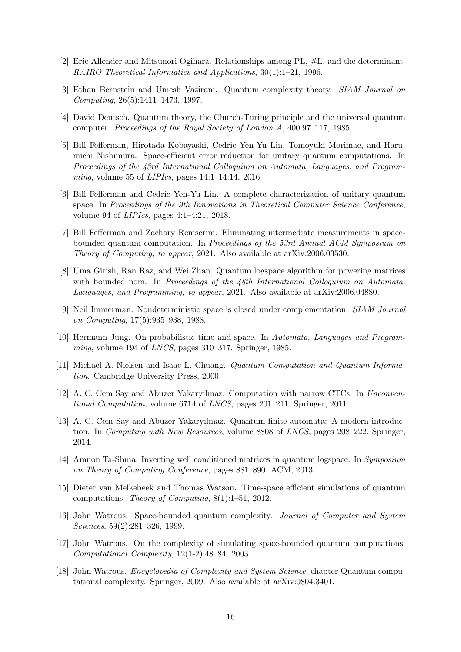- <span id="page-15-10"></span><span id="page-15-8"></span>[2] Eric Allender and Mitsunori Ogihara. Relationships among PL, #L, and the determinant. RAIRO Theoretical Informatics and Applications, 30(1):1–21, 1996.
- <span id="page-15-9"></span>[3] Ethan Bernstein and Umesh Vazirani. Quantum complexity theory. SIAM Journal on Computing, 26(5):1411–1473, 1997.
- <span id="page-15-3"></span>[4] David Deutsch. Quantum theory, the Church-Turing principle and the universal quantum computer. Proceedings of the Royal Society of London A, 400:97–117, 1985.
- [5] Bill Fefferman, Hirotada Kobayashi, Cedric Yen-Yu Lin, Tomoyuki Morimae, and Harumichi Nishimura. Space-efficient error reduction for unitary quantum computations. In Proceedings of the 43rd International Colloquium on Automata, Languages, and Programming, volume 55 of  $LIPIcs$ , pages 14:1-14:14, 2016.
- <span id="page-15-2"></span>[6] Bill Fefferman and Cedric Yen-Yu Lin. A complete characterization of unitary quantum space. In Proceedings of the 9th Innovations in Theoretical Computer Science Conference, volume 94 of LIPIcs, pages 4:1–4:21, 2018.
- <span id="page-15-4"></span>[7] Bill Fefferman and Zachary Remscrim. Eliminating intermediate measurements in spacebounded quantum computation. In Proceedings of the 53rd Annual ACM Symposium on Theory of Computing, to appear, 2021. Also available at arXiv:2006.03530.
- <span id="page-15-5"></span>[8] Uma Girish, Ran Raz, and Wei Zhan. Quantum logspace algorithm for powering matrices with bounded nom. In Proceedings of the 48th International Colloquium on Automata, Languages, and Programming, to appear, 2021. Also available at arXiv:2006.04880.
- <span id="page-15-15"></span>[9] Neil Immerman. Nondeterministic space is closed under complementation. SIAM Journal on Computing, 17(5):935–938, 1988.
- <span id="page-15-7"></span><span id="page-15-6"></span>[10] Hermann Jung. On probabilistic time and space. In Automata, Languages and Programming, volume 194 of LNCS, pages 310–317. Springer, 1985.
- [11] Michael A. Nielsen and Isaac L. Chuang. Quantum Computation and Quantum Information. Cambridge University Press, 2000.
- <span id="page-15-16"></span>[12] A. C. Cem Say and Abuzer Yakaryılmaz. Computation with narrow CTCs. In Unconventional Computation, volume 6714 of LNCS, pages 201–211. Springer, 2011.
- <span id="page-15-14"></span>[13] A. C. Cem Say and Abuzer Yakaryılmaz. Quantum finite automata: A modern introduction. In Computing with New Resources, volume 8808 of LNCS, pages 208–222. Springer, 2014.
- <span id="page-15-1"></span>[14] Amnon Ta-Shma. Inverting well conditioned matrices in quantum logspace. In Symposium on Theory of Computing Conference, pages 881–890. ACM, 2013.
- <span id="page-15-12"></span>[15] Dieter van Melkebeek and Thomas Watson. Time-space efficient simulations of quantum computations. Theory of Computing, 8(1):1–51, 2012.
- <span id="page-15-0"></span>[16] John Watrous. Space-bounded quantum complexity. Journal of Computer and System Sciences, 59(2):281–326, 1999.
- <span id="page-15-11"></span>[17] John Watrous. On the complexity of simulating space-bounded quantum computations. Computational Complexity, 12(1-2):48–84, 2003.
- <span id="page-15-13"></span>[18] John Watrous. Encyclopedia of Complexity and System Science, chapter Quantum computational complexity. Springer, 2009. Also available at arXiv:0804.3401.